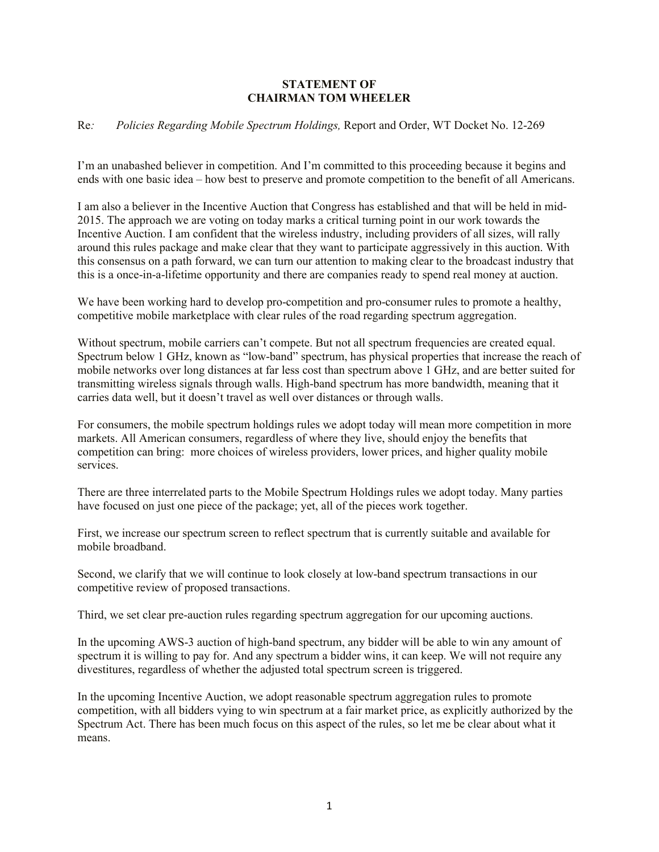## **STATEMENT OF CHAIRMAN TOM WHEELER**

## Re*: Policies Regarding Mobile Spectrum Holdings,* Report and Order, WT Docket No. 12-269

I'm an unabashed believer in competition. And I'm committed to this proceeding because it begins and ends with one basic idea – how best to preserve and promote competition to the benefit of all Americans.

I am also a believer in the Incentive Auction that Congress has established and that will be held in mid-2015. The approach we are voting on today marks a critical turning point in our work towards the Incentive Auction. I am confident that the wireless industry, including providers of all sizes, will rally around this rules package and make clear that they want to participate aggressively in this auction. With this consensus on a path forward, we can turn our attention to making clear to the broadcast industry that this is a once-in-a-lifetime opportunity and there are companies ready to spend real money at auction.

We have been working hard to develop pro-competition and pro-consumer rules to promote a healthy, competitive mobile marketplace with clear rules of the road regarding spectrum aggregation.

Without spectrum, mobile carriers can't compete. But not all spectrum frequencies are created equal. Spectrum below 1 GHz, known as "low-band" spectrum, has physical properties that increase the reach of mobile networks over long distances at far less cost than spectrum above 1 GHz, and are better suited for transmitting wireless signals through walls. High-band spectrum has more bandwidth, meaning that it carries data well, but it doesn't travel as well over distances or through walls.

For consumers, the mobile spectrum holdings rules we adopt today will mean more competition in more markets. All American consumers, regardless of where they live, should enjoy the benefits that competition can bring: more choices of wireless providers, lower prices, and higher quality mobile services.

There are three interrelated parts to the Mobile Spectrum Holdings rules we adopt today. Many parties have focused on just one piece of the package; yet, all of the pieces work together.

First, we increase our spectrum screen to reflect spectrum that is currently suitable and available for mobile broadband.

Second, we clarify that we will continue to look closely at low-band spectrum transactions in our competitive review of proposed transactions.

Third, we set clear pre-auction rules regarding spectrum aggregation for our upcoming auctions.

In the upcoming AWS-3 auction of high-band spectrum, any bidder will be able to win any amount of spectrum it is willing to pay for. And any spectrum a bidder wins, it can keep. We will not require any divestitures, regardless of whether the adjusted total spectrum screen is triggered.

In the upcoming Incentive Auction, we adopt reasonable spectrum aggregation rules to promote competition, with all bidders vying to win spectrum at a fair market price, as explicitly authorized by the Spectrum Act. There has been much focus on this aspect of the rules, so let me be clear about what it means.